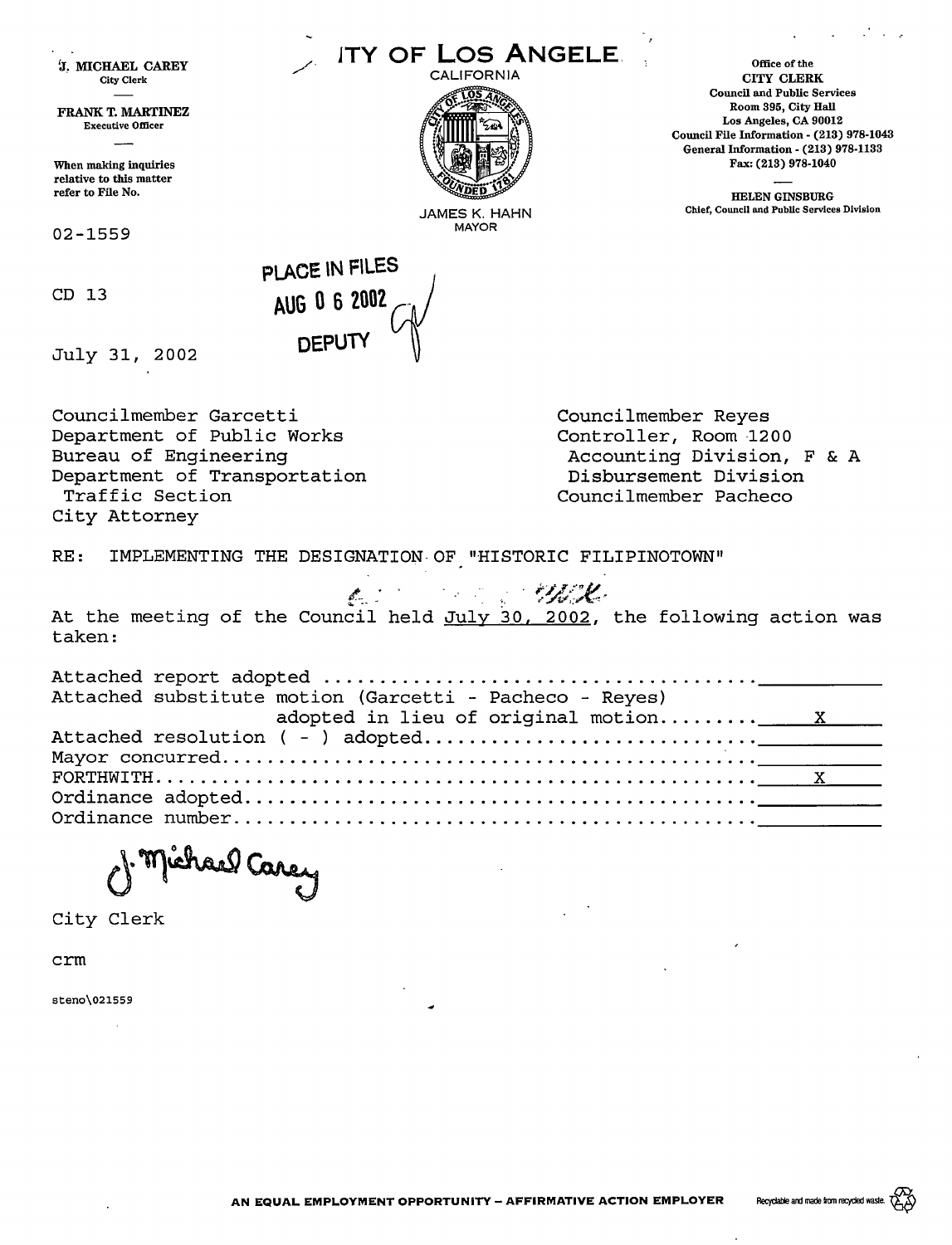| <b>J. MICHAEL CAREY</b><br><b>City Clerk</b><br>FRANK T. MARTINEZ<br><b>Executive Officer</b><br>When making inquiries<br>relative to this matter<br>refer to File No. | ITY OF LOS ANGELE.<br>CALIFORNIA<br>JAMES K. HAHN                                                                               | Office of the<br>CITY CLERK<br><b>Council and Public Services</b><br>Room 395, City Hall<br>Los Angeles, CA 90012<br>Council File Information - (213) 978-1043<br>General Information - (213) 978-1133<br>Fax: (213) 978-1040<br><b>HELEN GINSBURG</b><br>Chief, Council and Public Services Division |
|------------------------------------------------------------------------------------------------------------------------------------------------------------------------|---------------------------------------------------------------------------------------------------------------------------------|-------------------------------------------------------------------------------------------------------------------------------------------------------------------------------------------------------------------------------------------------------------------------------------------------------|
| 02-1559                                                                                                                                                                | <b>MAYOR</b>                                                                                                                    |                                                                                                                                                                                                                                                                                                       |
| CD <sub>13</sub><br>July 31, 2002                                                                                                                                      | PLACE IN FILES<br>AUG 0 6 2002<br>DEPUTY                                                                                        |                                                                                                                                                                                                                                                                                                       |
| Councilmember Garcetti<br>Department of Public Works<br>Bureau of Engineering<br>Department of Transportation<br>Traffic Section<br>City Attorney                      |                                                                                                                                 | Councilmember Reyes<br>Controller, Room 1200<br>Accounting Division, F & A<br>Disbursement Division<br>Councilmember Pacheco                                                                                                                                                                          |
| RE:                                                                                                                                                                    | IMPLEMENTING THE DESIGNATION OF "HISTORIC FILIPINOTOWN"                                                                         |                                                                                                                                                                                                                                                                                                       |
| taken:                                                                                                                                                                 | and the state of the state of the state of the state of the state of the state of the state of the state of the<br>$\mathbb{Z}$ | At the meeting of the Council held July 30, 2002, the following action was                                                                                                                                                                                                                            |
|                                                                                                                                                                        | Attached substitute motion (Garcetti - Pacheco - Reyes)<br>adopted in lieu of original motion                                   | $\overline{X}$                                                                                                                                                                                                                                                                                        |
| Michael Carey                                                                                                                                                          |                                                                                                                                 |                                                                                                                                                                                                                                                                                                       |

City Clerk

crm

steno\021559

 $\ddot{\phantom{a}}$ 

 $\overline{\phantom{a}}$ 

l,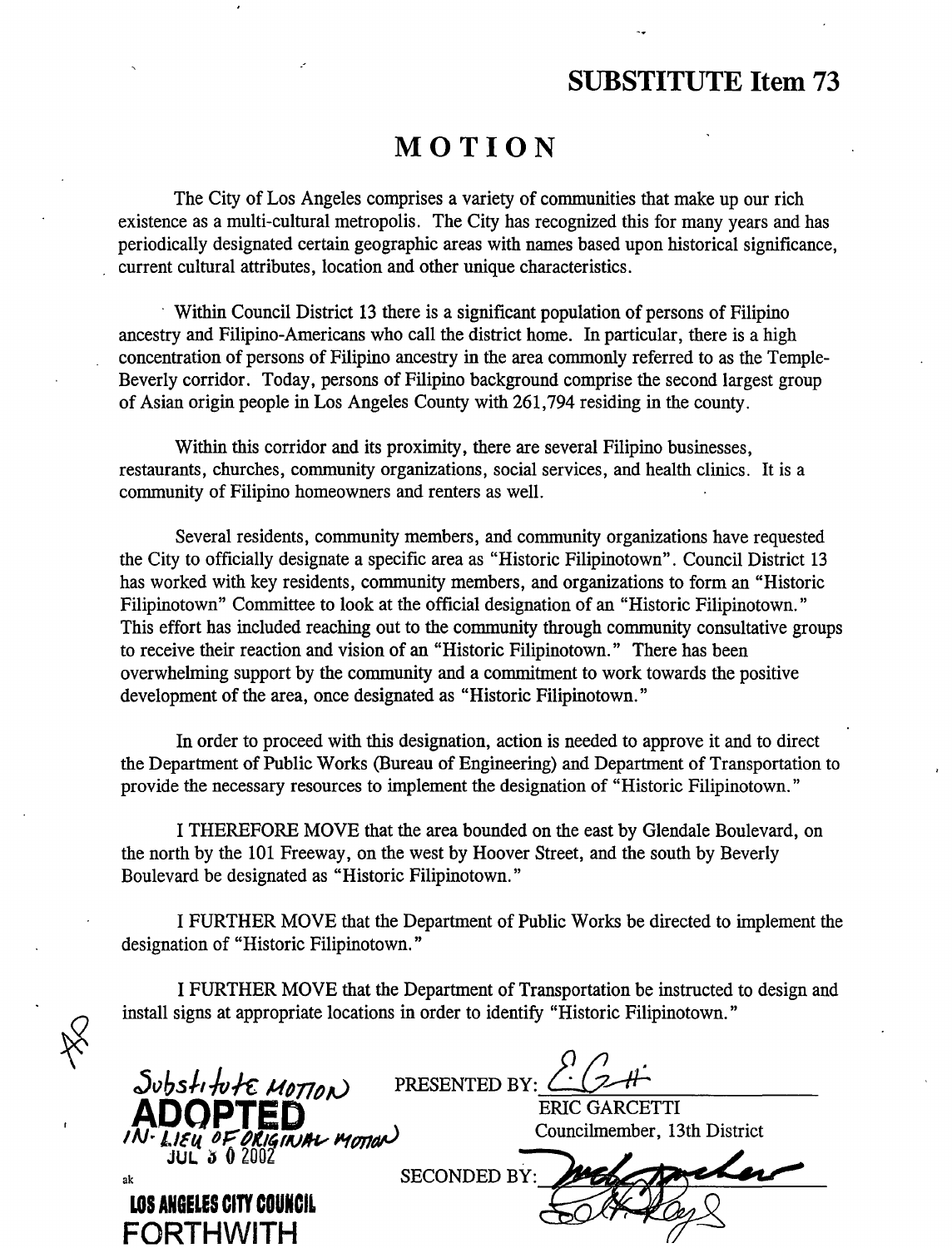## **SUBSTITUTE Item 73**

## **MOTION**

The City of Los Angeles comprises a variety of communities that make up our rich existence as a multi-cultural metropolis. The City has recognized this for many years and has periodically designated certain geographic areas with names based upon historical significance, current cultural attributes, location and other unique characteristics.

· Within Council District 13 there is a significant population of persons of Filipino ancestry and Filipino-Americans who call the district home. In particular, there is a high concentration of persons of Filipino ancestry in the area commonly referred to as the Temple-Beverly corridor. Today, persons of Filipino background comprise the second largest group of Asian origin people in Los Angeles County with 261,794 residing in the county.

Within this corridor and its proximity, there are several Filipino businesses, restaurants, churches, community organizations, social services, and health clinics. It is a community of Filipino homeowners and renters as well.

Several residents, community members, and community organizations have requested the City to officially designate a specific area as "Historic Filipinotown". Council District 13 has worked with key residents, community members, and organizations to form an "Historic Filipinotown" Committee to look at the official designation of an "Historic Filipinotown." This effort has included reaching out to the community through community consultative groups to receive their reaction and vision of an "Historic Filipinotown." There has been overwhelming support by the community and a commitment to work towards the positive development of the area, once designated as "Historic Filipinotown."

In order to proceed with this designation, action is needed to approve it and to direct the Department of Public Works (Bureau of Engineering) and Department of Transportation to provide the necessary resources to implement the designation of "Historic Filipinotown."

I THEREFORE MOVE that the area bounded on the east by Glendale Boulevard, on the north by the 101 Freeway, on the west by Hoover Street, and the south by Beverly Boulevard be designated as "Historic Filipinotown."

I FURTHER MOVE that the Department of Public Works be directed to implement the designation of "Historic Filipinotown."

I FURTHER MOVE that the Department of Transportation be instructed to design and install signs at appropriate locations in order to identify "Historic Filipinotown."

Substitute MOTION PRESENTED BY: CLC+1-<br>**ADOPTED** ERIC GARCETTI<br>Councilmember. 13th District **INIGINAL MOTION** Councilmember, 13th District THE TELL COUNCILIEUT IS NOT TELL COUNCILIEMENT, 13th District<br>JUL 3 0 2002<br>ARRIVER AVEVALUANCE SECONDED BY: 2006 **L0S ANGELES CITY COUNCIL FORTHWITH**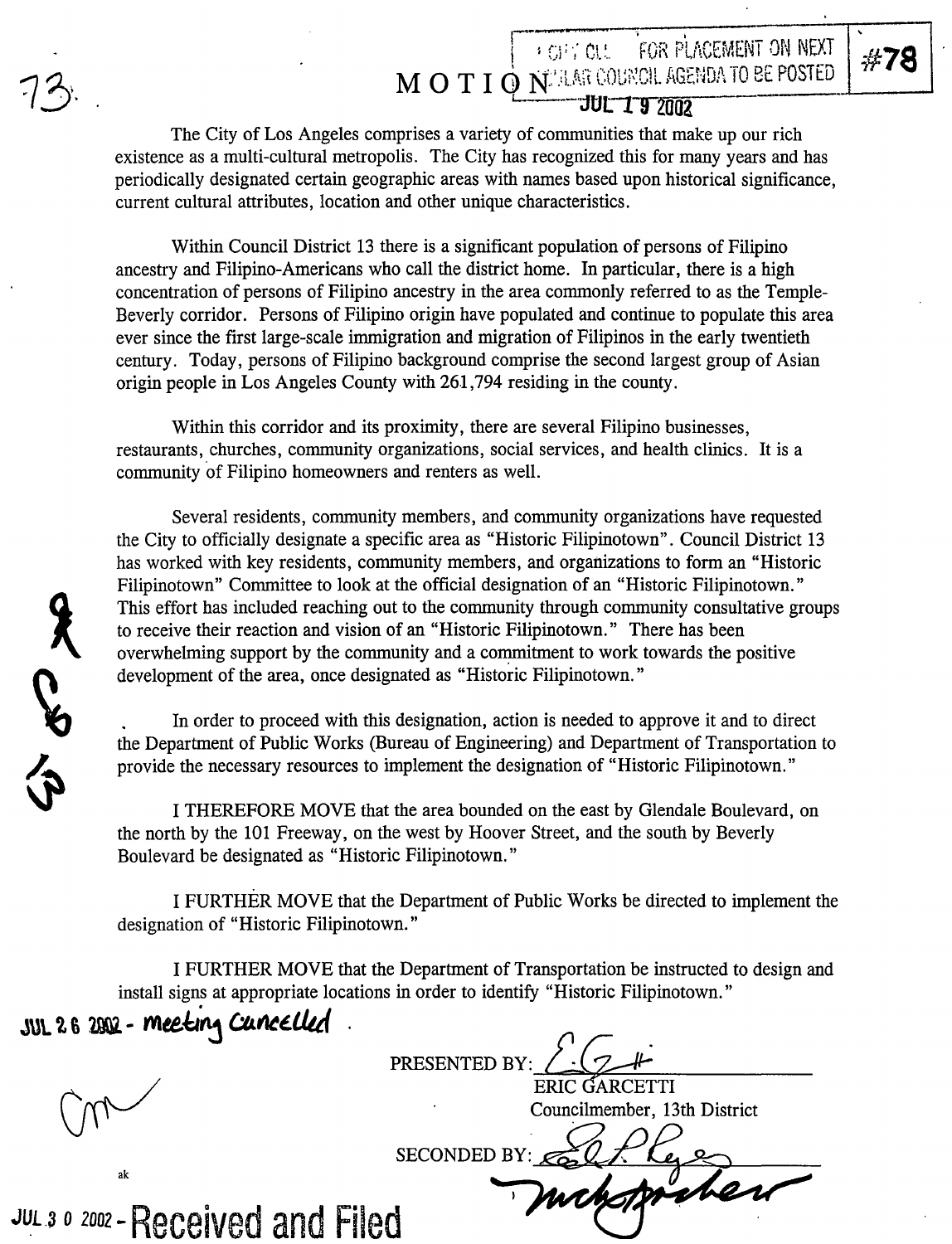ACAN

## r~-- I I Gl; ·i CV.. .. FOR PLi\CEMENT DN NEXT E *#t* **78** · **M O T I O N<sup>2</sup> AR COUNCIL AGENDA TO BE POSTED** <u>L. . **JUL 19** 2002</u>

The City of Los Angeles comprises a variety of communities that make up our rich existence as a multi-cultural metropolis. The City has recognized this for many years and has periodically designated certain geographic areas with names based upon historical significance, current cultural attributes, location and other unique characteristics.

Within Council District 13 there is a significant population of persons of Filipino ancestry and Filipino-Americans who call the district home. In particular, there is a high concentration of persons of Filipino ancestry in the area commonly referred to as the Temple-Beverly corridor. Persons of Filipino origin have populated and continue to populate this area ever since the first large-scale immigration and migration of Filipinos in the early twentieth century. Today, persons of Filipino background comprise the second largest group of Asian origin people in Los Angeles County with 261,794 residing in the county.

Within this corridor and its proximity, there are several Filipino businesses, restaurants, churches, community organizations, social services, and health clinics. It is a community of Filipino homeowners and renters as well.

Several residents, community members, and community organizations have requested the City to officially designate a specific area as "Historic Filipinotown". Council District 13 has worked with key residents, community members, and organizations to form an "Historic Filipinotown" Committee to look at the official designation of an "Historic Filipinotown." This effort has included reaching out to the community through community consultative groups to receive their reaction and vision of an "Historic Filipinotown." There has been overwhelming support by the community and a commitment to work towards the positive development of the area, once designated as "Historic Filipinotown."

In order to proceed with this designation, action is needed to approve it and to direct the Department of Public Works (Bureau of Engineering) and Department of Transportation to provide the necessary resources to implement the designation of "Historic Filipinotown."

I THEREFORE MOVE that the area bounded on the east by Glendale Boulevard, on the north by the 101 Freeway, on the west by Hoover Street, and the south by Beverly Boulevard be designated as "Historic Filipinotown."

I FURTHER MOVE that the Department of Public Works be directed to implement the designation of "Historic Filipinotown."

I FURTHER MOVE that the Department of Transportation be instructed to design and install signs at appropriate locations in order to identify "Historic Filipinotown."

SECONDED BY:  $\epsilon$ 

 $JUL 26 2002 - Mecking Cuncelled$ 

ak

PRESENTED BY:  $\sqrt{\frac{1}{\text{RRIC GARCHTI}}}$ ERIC GARCETTI

Councilmember, 13th District

**JUL 3 0 2002 - Received and Filed**